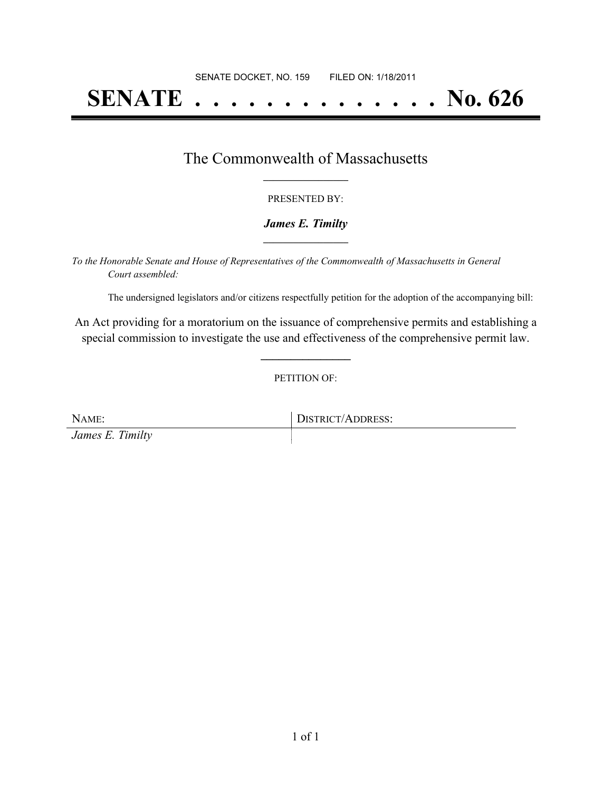# **SENATE . . . . . . . . . . . . . . No. 626**

### The Commonwealth of Massachusetts **\_\_\_\_\_\_\_\_\_\_\_\_\_\_\_\_\_**

#### PRESENTED BY:

#### *James E. Timilty* **\_\_\_\_\_\_\_\_\_\_\_\_\_\_\_\_\_**

*To the Honorable Senate and House of Representatives of the Commonwealth of Massachusetts in General Court assembled:*

The undersigned legislators and/or citizens respectfully petition for the adoption of the accompanying bill:

An Act providing for a moratorium on the issuance of comprehensive permits and establishing a special commission to investigate the use and effectiveness of the comprehensive permit law.

**\_\_\_\_\_\_\_\_\_\_\_\_\_\_\_**

PETITION OF:

NAME: DISTRICT/ADDRESS: *James E. Timilty*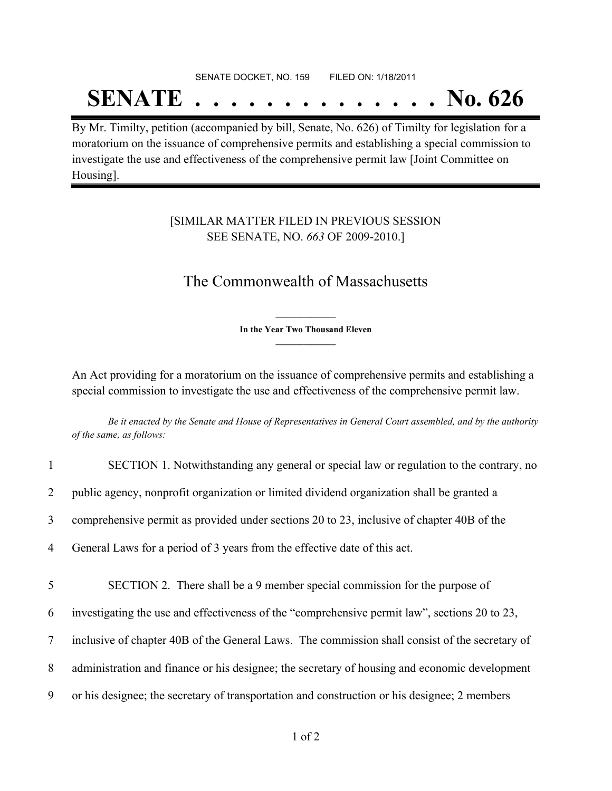## SENATE DOCKET, NO. 159 FILED ON: 1/18/2011

# **SENATE . . . . . . . . . . . . . . No. 626**

By Mr. Timilty, petition (accompanied by bill, Senate, No. 626) of Timilty for legislation for a moratorium on the issuance of comprehensive permits and establishing a special commission to investigate the use and effectiveness of the comprehensive permit law [Joint Committee on Housing].

### [SIMILAR MATTER FILED IN PREVIOUS SESSION SEE SENATE, NO. *663* OF 2009-2010.]

## The Commonwealth of Massachusetts

**\_\_\_\_\_\_\_\_\_\_\_\_\_\_\_ In the Year Two Thousand Eleven \_\_\_\_\_\_\_\_\_\_\_\_\_\_\_**

An Act providing for a moratorium on the issuance of comprehensive permits and establishing a special commission to investigate the use and effectiveness of the comprehensive permit law.

Be it enacted by the Senate and House of Representatives in General Court assembled, and by the authority *of the same, as follows:*

| $\mathbf{1}$   | SECTION 1. Notwithstanding any general or special law or regulation to the contrary, no        |
|----------------|------------------------------------------------------------------------------------------------|
| $\overline{2}$ | public agency, nonprofit organization or limited dividend organization shall be granted a      |
| 3              | comprehensive permit as provided under sections 20 to 23, inclusive of chapter 40B of the      |
| 4              | General Laws for a period of 3 years from the effective date of this act.                      |
| 5              | SECTION 2. There shall be a 9 member special commission for the purpose of                     |
| 6              | investigating the use and effectiveness of the "comprehensive permit law", sections 20 to 23,  |
| 7              | inclusive of chapter 40B of the General Laws. The commission shall consist of the secretary of |
| 8              | administration and finance or his designee; the secretary of housing and economic development  |
| 9              | or his designee; the secretary of transportation and construction or his designee; 2 members   |